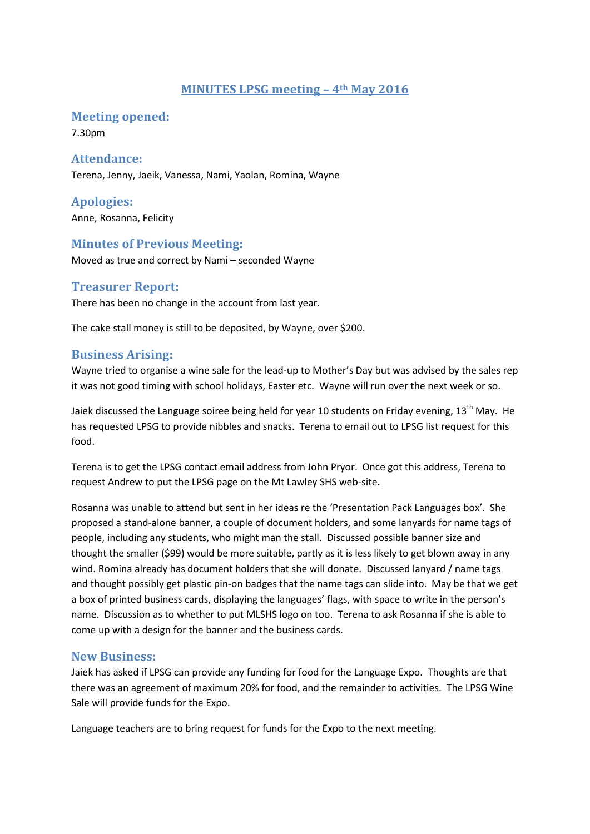## **MINUTES LPSG meeting – 4th May 2016**

**Meeting opened:**

7.30pm

#### **Attendance:**

Terena, Jenny, Jaeik, Vanessa, Nami, Yaolan, Romina, Wayne

**Apologies:** Anne, Rosanna, Felicity

## **Minutes of Previous Meeting:**

Moved as true and correct by Nami – seconded Wayne

#### **Treasurer Report:**

There has been no change in the account from last year.

The cake stall money is still to be deposited, by Wayne, over \$200.

## **Business Arising:**

Wayne tried to organise a wine sale for the lead-up to Mother's Day but was advised by the sales rep it was not good timing with school holidays, Easter etc. Wayne will run over the next week or so.

Jaiek discussed the Language soiree being held for year 10 students on Friday evening,  $13<sup>th</sup>$  May. He has requested LPSG to provide nibbles and snacks. Terena to email out to LPSG list request for this food.

Terena is to get the LPSG contact email address from John Pryor. Once got this address, Terena to request Andrew to put the LPSG page on the Mt Lawley SHS web-site.

Rosanna was unable to attend but sent in her ideas re the 'Presentation Pack Languages box'. She proposed a stand-alone banner, a couple of document holders, and some lanyards for name tags of people, including any students, who might man the stall. Discussed possible banner size and thought the smaller (\$99) would be more suitable, partly as it is less likely to get blown away in any wind. Romina already has document holders that she will donate. Discussed lanyard / name tags and thought possibly get plastic pin-on badges that the name tags can slide into. May be that we get a box of printed business cards, displaying the languages' flags, with space to write in the person's name. Discussion as to whether to put MLSHS logo on too. Terena to ask Rosanna if she is able to come up with a design for the banner and the business cards.

#### **New Business:**

Jaiek has asked if LPSG can provide any funding for food for the Language Expo. Thoughts are that there was an agreement of maximum 20% for food, and the remainder to activities. The LPSG Wine Sale will provide funds for the Expo.

Language teachers are to bring request for funds for the Expo to the next meeting.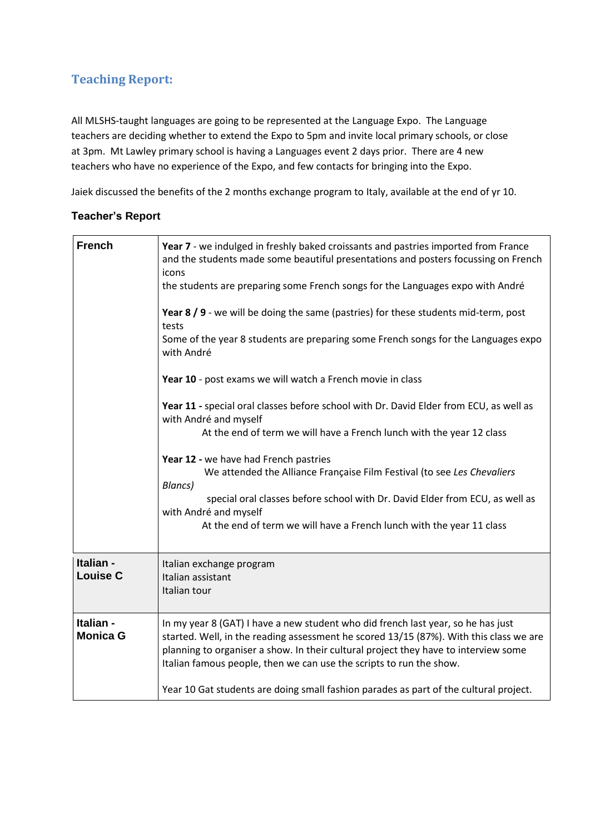# **Teaching Report:**

All MLSHS-taught languages are going to be represented at the Language Expo. The Language teachers are deciding whether to extend the Expo to 5pm and invite local primary schools, or close at 3pm. Mt Lawley primary school is having a Languages event 2 days prior. There are 4 new teachers who have no experience of the Expo, and few contacts for bringing into the Expo.

Jaiek discussed the benefits of the 2 months exchange program to Italy, available at the end of yr 10.

#### **Teacher's Report**

| <b>French</b>                | Year 7 - we indulged in freshly baked croissants and pastries imported from France<br>and the students made some beautiful presentations and posters focussing on French<br>icons<br>the students are preparing some French songs for the Languages expo with André<br>Year 8 / 9 - we will be doing the same (pastries) for these students mid-term, post<br>tests<br>Some of the year 8 students are preparing some French songs for the Languages expo<br>with André<br>Year 10 - post exams we will watch a French movie in class<br>Year 11 - special oral classes before school with Dr. David Elder from ECU, as well as<br>with André and myself<br>At the end of term we will have a French lunch with the year 12 class<br>Year 12 - we have had French pastries<br>We attended the Alliance Française Film Festival (to see Les Chevaliers<br><b>Blancs</b> )<br>special oral classes before school with Dr. David Elder from ECU, as well as<br>with André and myself<br>At the end of term we will have a French lunch with the year 11 class |
|------------------------------|------------------------------------------------------------------------------------------------------------------------------------------------------------------------------------------------------------------------------------------------------------------------------------------------------------------------------------------------------------------------------------------------------------------------------------------------------------------------------------------------------------------------------------------------------------------------------------------------------------------------------------------------------------------------------------------------------------------------------------------------------------------------------------------------------------------------------------------------------------------------------------------------------------------------------------------------------------------------------------------------------------------------------------------------------------|
| Italian -<br><b>Louise C</b> | Italian exchange program<br>Italian assistant<br>Italian tour                                                                                                                                                                                                                                                                                                                                                                                                                                                                                                                                                                                                                                                                                                                                                                                                                                                                                                                                                                                              |
| Italian -<br><b>Monica G</b> | In my year 8 (GAT) I have a new student who did french last year, so he has just<br>started. Well, in the reading assessment he scored 13/15 (87%). With this class we are<br>planning to organiser a show. In their cultural project they have to interview some<br>Italian famous people, then we can use the scripts to run the show.<br>Year 10 Gat students are doing small fashion parades as part of the cultural project.                                                                                                                                                                                                                                                                                                                                                                                                                                                                                                                                                                                                                          |